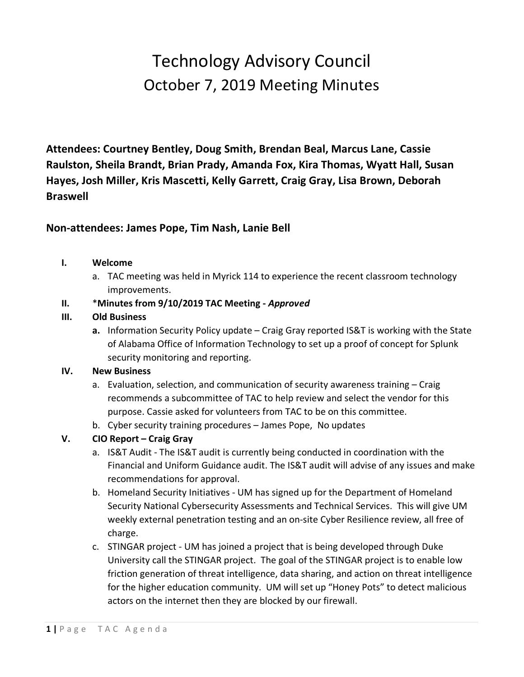# Technology Advisory Council October 7, 2019 Meeting Minutes

**Attendees: Courtney Bentley, Doug Smith, Brendan Beal, Marcus Lane, Cassie Raulston, Sheila Brandt, Brian Prady, Amanda Fox, Kira Thomas, Wyatt Hall, Susan Hayes, Josh Miller, Kris Mascetti, Kelly Garrett, Craig Gray, Lisa Brown, Deborah Braswell**

## **Non-attendees: James Pope, Tim Nash, Lanie Bell**

#### **I. Welcome**

a. TAC meeting was held in Myrick 114 to experience the recent classroom technology improvements.

### **II.** \***Minutes from 9/10/2019 TAC Meeting -** *Approved*

#### **III. Old Business**

**a.** Information Security Policy update – Craig Gray reported IS&T is working with the State of Alabama Office of Information Technology to set up a proof of concept for Splunk security monitoring and reporting.

#### **IV. New Business**

- a. Evaluation, selection, and communication of security awareness training Craig recommends a subcommittee of TAC to help review and select the vendor for this purpose. Cassie asked for volunteers from TAC to be on this committee.
- b. Cyber security training procedures James Pope, No updates
- **V. CIO Report – Craig Gray**
	- a. IS&T Audit The IS&T audit is currently being conducted in coordination with the Financial and Uniform Guidance audit. The IS&T audit will advise of any issues and make recommendations for approval.
	- b. Homeland Security Initiatives UM has signed up for the Department of Homeland Security National Cybersecurity Assessments and Technical Services. This will give UM weekly external penetration testing and an on-site Cyber Resilience review, all free of charge.
	- c. STINGAR project UM has joined a project that is being developed through Duke University call the STINGAR project. The goal of the STINGAR project is to enable low friction generation of threat intelligence, data sharing, and action on threat intelligence for the higher education community. UM will set up "Honey Pots" to detect malicious actors on the internet then they are blocked by our firewall.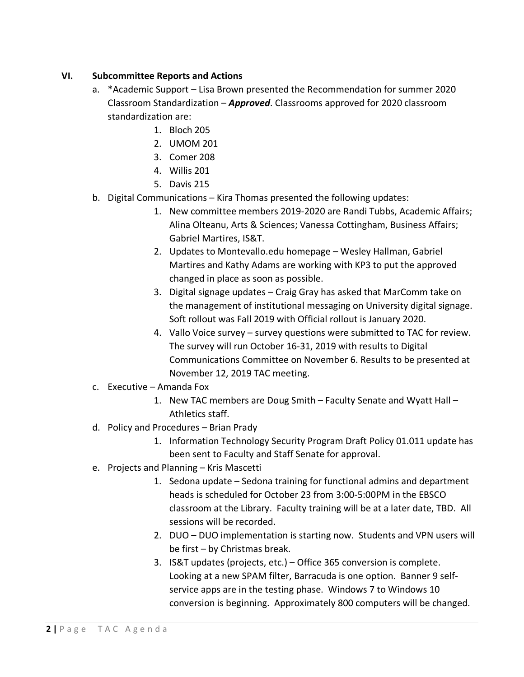#### **VI. Subcommittee Reports and Actions**

- a. \*Academic Support Lisa Brown presented the Recommendation for summer 2020 Classroom Standardization – *Approved*. Classrooms approved for 2020 classroom standardization are:
	- 1. Bloch 205
	- 2. UMOM 201
	- 3. Comer 208
	- 4. Willis 201
	- 5. Davis 215
- b. Digital Communications Kira Thomas presented the following updates:
	- 1. New committee members 2019-2020 are Randi Tubbs, Academic Affairs; Alina Olteanu, Arts & Sciences; Vanessa Cottingham, Business Affairs; Gabriel Martires, IS&T.
	- 2. Updates to Montevallo.edu homepage Wesley Hallman, Gabriel Martires and Kathy Adams are working with KP3 to put the approved changed in place as soon as possible.
	- 3. Digital signage updates Craig Gray has asked that MarComm take on the management of institutional messaging on University digital signage. Soft rollout was Fall 2019 with Official rollout is January 2020.
	- 4. Vallo Voice survey survey questions were submitted to TAC for review. The survey will run October 16-31, 2019 with results to Digital Communications Committee on November 6. Results to be presented at November 12, 2019 TAC meeting.
- c. Executive Amanda Fox
	- 1. New TAC members are Doug Smith Faculty Senate and Wyatt Hall Athletics staff.
- d. Policy and Procedures Brian Prady
	- 1. Information Technology Security Program Draft Policy 01.011 update has been sent to Faculty and Staff Senate for approval.
- e. Projects and Planning Kris Mascetti
	- 1. Sedona update Sedona training for functional admins and department heads is scheduled for October 23 from 3:00-5:00PM in the EBSCO classroom at the Library. Faculty training will be at a later date, TBD. All sessions will be recorded.
	- 2. DUO DUO implementation is starting now. Students and VPN users will be first – by Christmas break.
	- 3. IS&T updates (projects, etc.) Office 365 conversion is complete. Looking at a new SPAM filter, Barracuda is one option. Banner 9 selfservice apps are in the testing phase. Windows 7 to Windows 10 conversion is beginning. Approximately 800 computers will be changed.